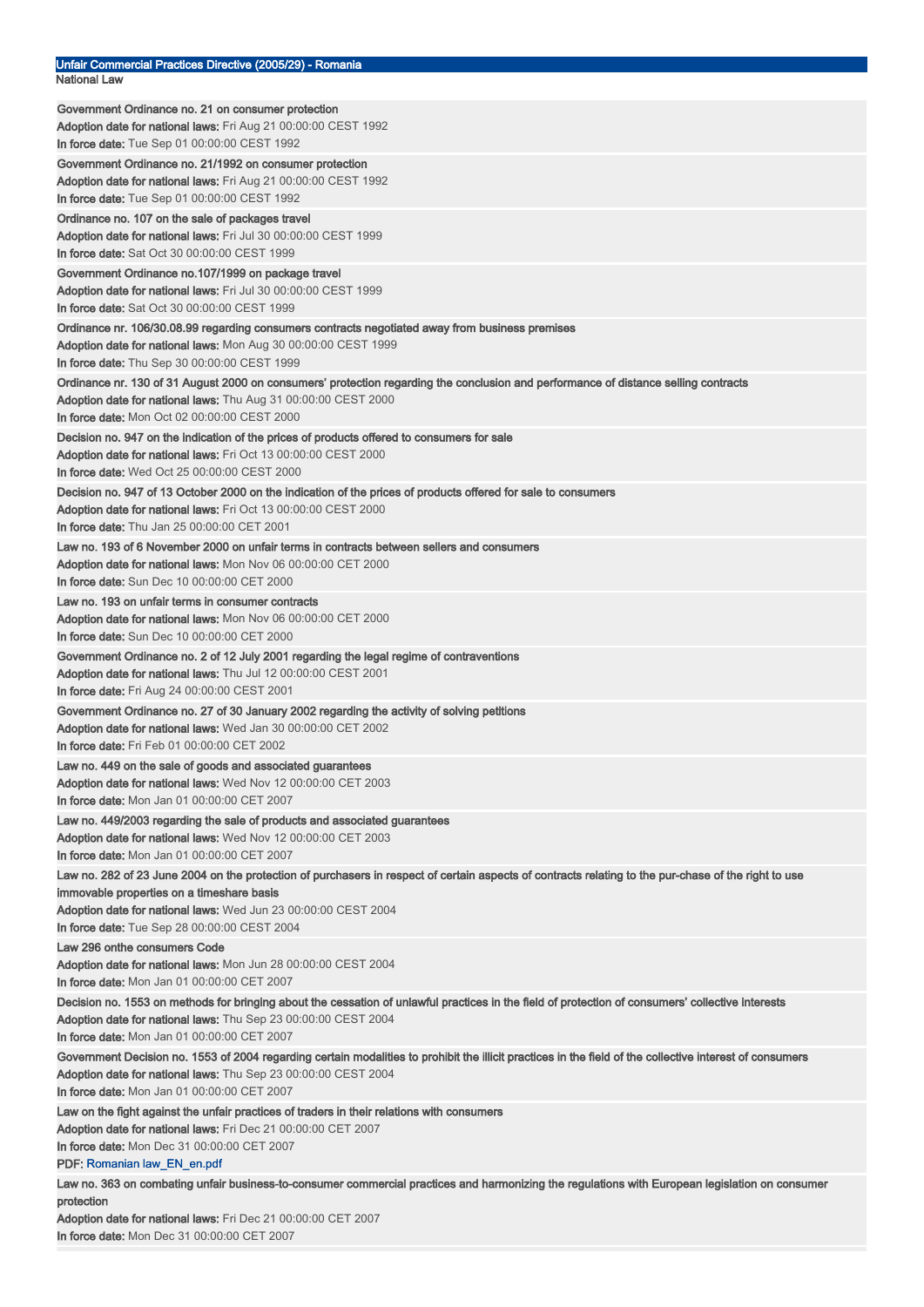| Unfair Commercial Practices Directive (2005/29) - Romania<br>National Law                                                                                |
|----------------------------------------------------------------------------------------------------------------------------------------------------------|
| Government Ordinance no. 21 on consumer protection                                                                                                       |
| Adoption date for national laws: Fri Aug 21 00:00:00 CEST 1992                                                                                           |
| In force date: Tue Sep 01 00:00:00 CEST 1992                                                                                                             |
| Government Ordinance no. 21/1992 on consumer protection                                                                                                  |
| Adoption date for national laws: Fri Aug 21 00:00:00 CEST 1992                                                                                           |
| In force date: Tue Sep 01 00:00:00 CEST 1992                                                                                                             |
| Ordinance no. 107 on the sale of packages travel                                                                                                         |
| Adoption date for national laws: Fri Jul 30 00:00:00 CEST 1999<br>In force date: Sat Oct 30 00:00:00 CEST 1999                                           |
|                                                                                                                                                          |
| Government Ordinance no.107/1999 on package travel<br>Adoption date for national laws: Fri Jul 30 00:00:00 CEST 1999                                     |
| In force date: Sat Oct 30 00:00:00 CEST 1999                                                                                                             |
| Ordinance nr. 106/30.08.99 regarding consumers contracts negotiated away from business premises                                                          |
| Adoption date for national laws: Mon Aug 30 00:00:00 CEST 1999                                                                                           |
| In force date: Thu Sep 30 00:00:00 CEST 1999                                                                                                             |
| Ordinance nr. 130 of 31 August 2000 on consumers' protection regarding the conclusion and performance of distance selling contracts                      |
| <b>Adoption date for national laws:</b> Thu Aug 31 00:00:00 CEST 2000                                                                                    |
| In force date: Mon Oct 02 00:00:00 CEST 2000                                                                                                             |
| Decision no. 947 on the indication of the prices of products offered to consumers for sale                                                               |
| Adoption date for national laws: Fri Oct 13 00:00:00 CEST 2000                                                                                           |
| In force date: Wed Oct 25 00:00:00 CEST 2000                                                                                                             |
| Decision no. 947 of 13 October 2000 on the indication of the prices of products offered for sale to consumers                                            |
| Adoption date for national laws: Fri Oct 13 00:00:00 CEST 2000<br>In force date: Thu Jan 25 00:00:00 CET 2001                                            |
| Law no. 193 of 6 November 2000 on unfair terms in contracts between sellers and consumers                                                                |
| Adoption date for national laws: Mon Nov 06 00:00:00 CET 2000                                                                                            |
| In force date: Sun Dec 10 00:00:00 CET 2000                                                                                                              |
| Law no. 193 on unfair terms in consumer contracts                                                                                                        |
| Adoption date for national laws: Mon Nov 06 00:00:00 CET 2000                                                                                            |
| In force date: Sun Dec 10 00:00:00 CET 2000                                                                                                              |
| Government Ordinance no. 2 of 12 July 2001 regarding the legal regime of contraventions                                                                  |
| Adoption date for national laws: Thu Jul 12 00:00:00 CEST 2001                                                                                           |
| <b>In force date:</b> Fri Aug 24 00:00:00 CEST 2001                                                                                                      |
| Government Ordinance no. 27 of 30 January 2002 regarding the activity of solving petitions                                                               |
| Adoption date for national laws: Wed Jan 30 00:00:00 CET 2002<br>In force date: Fri Feb 01 00:00:00 CET 2002                                             |
|                                                                                                                                                          |
| Law no. 449 on the sale of goods and associated guarantees<br>Adoption date for national laws: Wed Nov 12 00:00:00 CET 2003                              |
| In force date: Mon Jan 01 00:00:00 CET 2007                                                                                                              |
| Law no. 449/2003 regarding the sale of products and associated guarantees                                                                                |
| Adoption date for national laws: Wed Nov 12 00:00:00 CET 2003                                                                                            |
| In force date: Mon Jan 01 00:00:00 CET 2007                                                                                                              |
| Law no. 282 of 23 June 2004 on the protection of purchasers in respect of certain aspects of contracts relating to the pur-chase of the right to use     |
| immovable properties on a timeshare basis                                                                                                                |
| Adoption date for national laws: Wed Jun 23 00:00:00 CEST 2004                                                                                           |
| In force date: Tue Sep 28 00:00:00 CEST 2004                                                                                                             |
| Law 296 onthe consumers Code                                                                                                                             |
| Adoption date for national laws: Mon Jun 28 00:00:00 CEST 2004<br>In force date: Mon Jan 01 00:00:00 CET 2007                                            |
| Decision no. 1553 on methods for bringing about the cessation of unlawful practices in the field of protection of consumers' collective interests        |
| <b>Adoption date for national laws:</b> Thu Sep 23 00:00:00 CEST 2004                                                                                    |
| In force date: Mon Jan 01 00:00:00 CET 2007                                                                                                              |
| Government Decision no. 1553 of 2004 regarding certain modalities to prohibit the illicit practices in the field of the collective interest of consumers |
| Adoption date for national laws: Thu Sep 23 00:00:00 CEST 2004                                                                                           |
| In force date: Mon Jan 01 00:00:00 CET 2007                                                                                                              |
| Law on the fight against the unfair practices of traders in their relations with consumers                                                               |
| Adoption date for national laws: Fri Dec 21 00:00:00 CET 2007                                                                                            |
| In force date: Mon Dec 31 00:00:00 CET 2007                                                                                                              |
| PDF: Romanian law_EN_en.pdf                                                                                                                              |
| Law no. 363 on combating unfair business-to-consumer commercial practices and harmonizing the regulations with European legislation on consumer          |
| protection<br>Adoption date for national laws: Fri Dec 21 00:00:00 CET 2007                                                                              |
| In force date: Mon Dec 31 00:00:00 CET 2007                                                                                                              |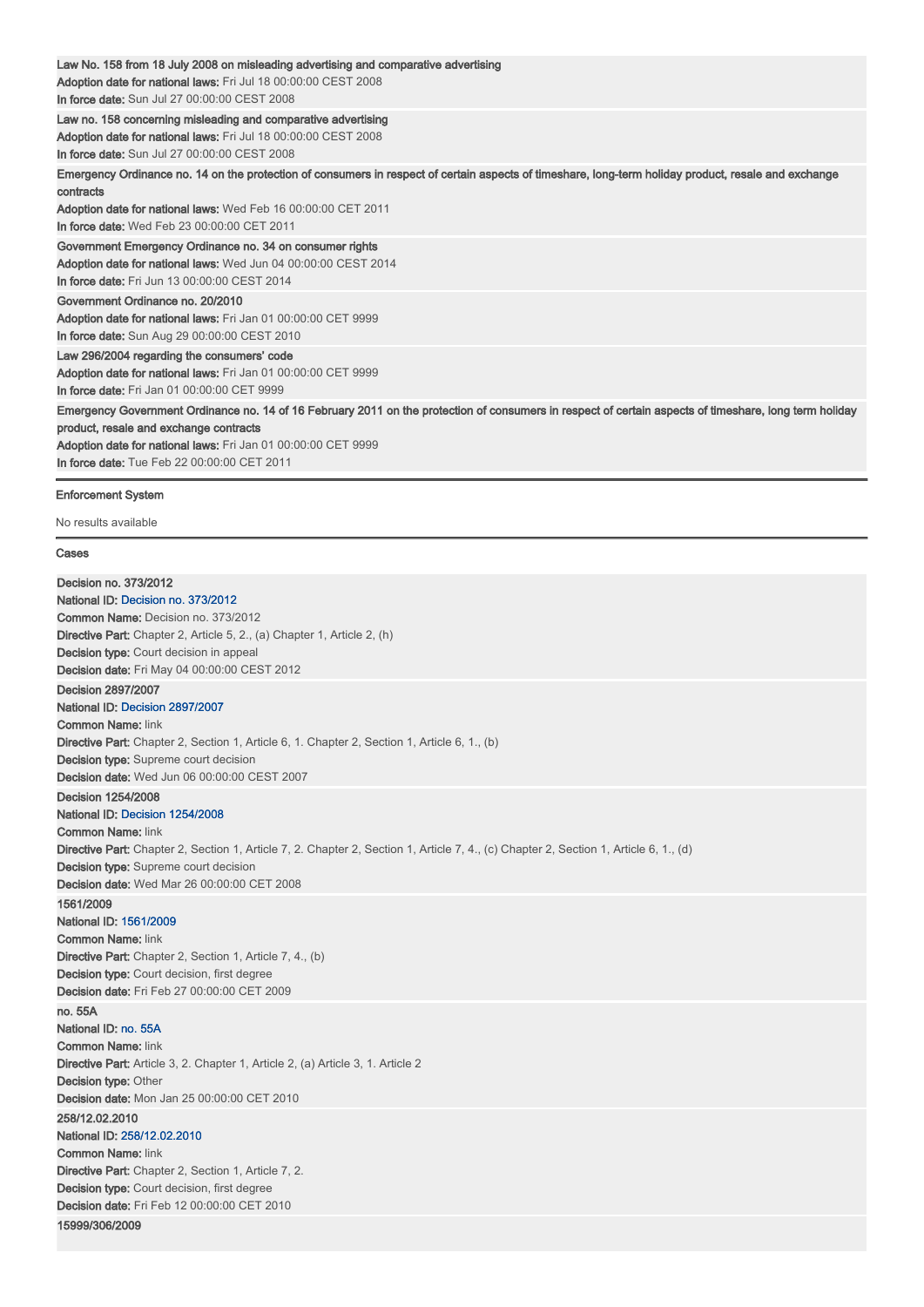| Law No. 158 from 18 July 2008 on misleading advertising and comparative advertising<br>Adoption date for national laws: Fri Jul 18 00:00:00 CEST 2008<br>In force date: Sun Jul 27 00:00:00 CEST 2008                                                                                                            |
|------------------------------------------------------------------------------------------------------------------------------------------------------------------------------------------------------------------------------------------------------------------------------------------------------------------|
| Law no. 158 concerning misleading and comparative advertising<br>Adoption date for national laws: Fri Jul 18 00:00:00 CEST 2008<br>In force date: Sun Jul 27 00:00:00 CEST 2008                                                                                                                                  |
| Emergency Ordinance no. 14 on the protection of consumers in respect of certain aspects of timeshare, long-term holiday product, resale and exchange<br>contracts<br>Adoption date for national laws: Wed Feb 16 00:00:00 CET 2011<br>In force date: Wed Feb 23 00:00:00 CET 2011                                |
| Government Emergency Ordinance no. 34 on consumer rights<br>Adoption date for national laws: Wed Jun 04 00:00:00 CEST 2014<br>In force date: Fri Jun 13 00:00:00 CEST 2014                                                                                                                                       |
| Government Ordinance no. 20/2010<br>Adoption date for national laws: Fri Jan 01 00:00:00 CET 9999<br>In force date: Sun Aug 29 00:00:00 CEST 2010                                                                                                                                                                |
| Law 296/2004 regarding the consumers' code<br>Adoption date for national laws: Fri Jan 01 00:00:00 CET 9999<br>In force date: Fri Jan 01 00:00:00 CET 9999                                                                                                                                                       |
| Emergency Government Ordinance no. 14 of 16 February 2011 on the protection of consumers in respect of certain aspects of timeshare, long term holiday<br>product, resale and exchange contracts<br>Adoption date for national laws: Fri Jan 01 00:00:00 CET 9999<br>In force date: Tue Feb 22 00:00:00 CET 2011 |

## Enforcement System

No results available

## Cases

Decision no. 373/2012 National ID: Decision no. 373/2012 Common Name: Decision no. 373/2012 Directive Part: Chapter 2, Article 5, 2., (a) Chapter 1, Article 2, (h) Decision type: Court decision in appeal Decision date: Fri May 04 00:00:00 CEST 2012 Decision 2897/2007 National ID: Decision 2897/2007 Common Name: link Directive Part: Chapter 2, Section 1, Article 6, 1. Chapter 2, Section 1, Article 6, 1., (b) Decision type: Supreme court decision Decision date: Wed Jun 06 00:00:00 CEST 2007 Decision 1254/2008 National ID: Decision 1254/2008 **Common Name: link** Directive Part: Chapter 2, Section 1, Article 7, 2. Chapter 2, Section 1, Article 7, 4., (c) Chapter 2, Section 1, Article 6, 1., (d) Decision type: Supreme court decision Decision date: Wed Mar 26 00:00:00 CET 2008 1561/2009 National ID: 1561/2009 Common Name: link Directive Part: Chapter 2, Section 1, Article 7, 4., (b) Decision type: Court decision, first degree Decision date: Fri Feb 27 00:00:00 CET 2009 no. 55A National ID: no. 55A Common Name: link Directive Part: Article 3, 2. Chapter 1, Article 2, (a) Article 3, 1. Article 2 Decision type: Other **Decision date:** Mon Jan 25 00:00:00 CET 2010 258/12.02.2010 National ID: 258/12.02.2010 **Common Name: link** Directive Part: Chapter 2, Section 1, Article 7, 2. Decision type: Court decision, first degree Decision date: Fri Feb 12 00:00:00 CET 2010 15999/306/2009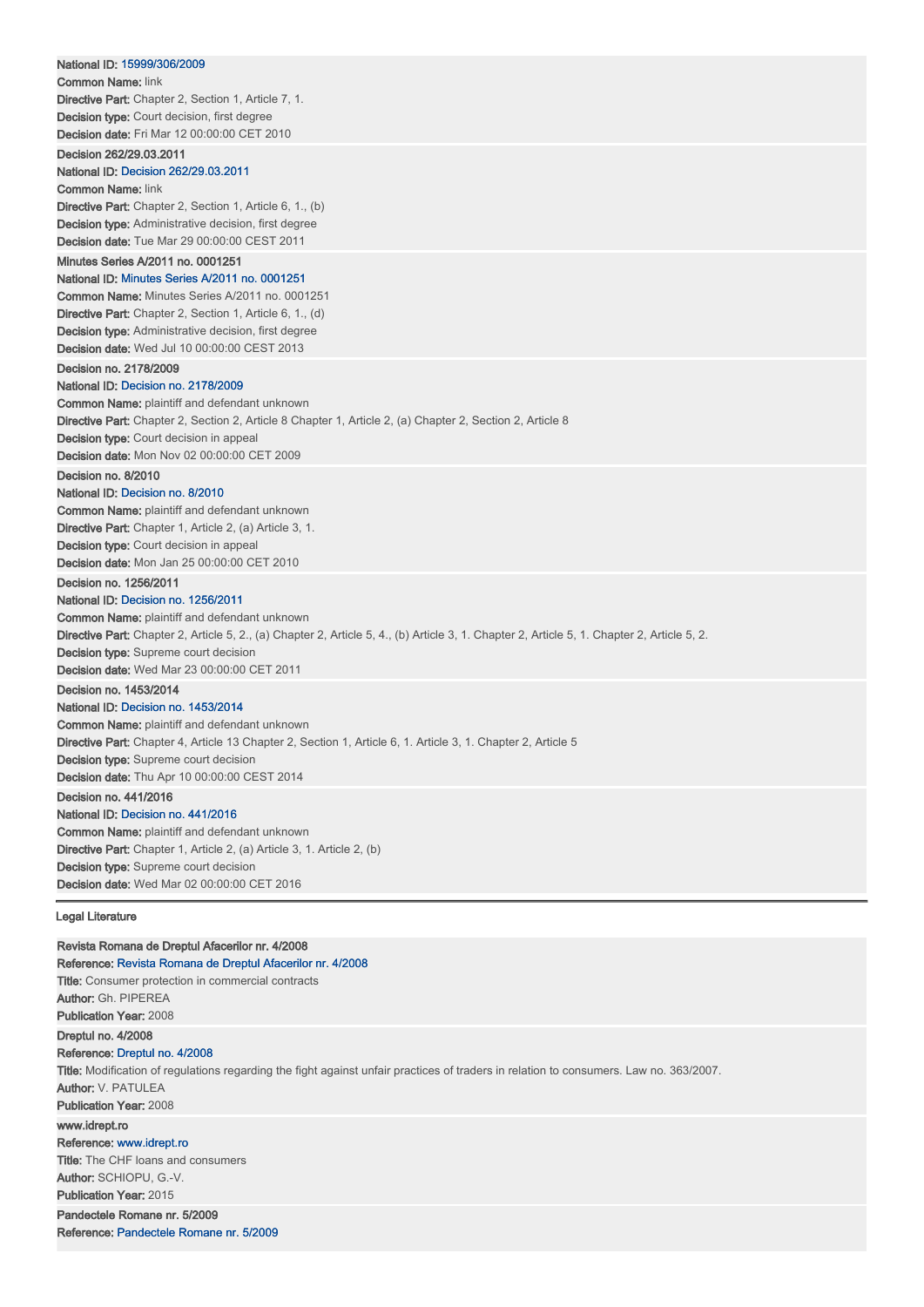| Revista Romana de Dreptul Afacerilor nr. 4/2008<br>Reference: Revista Romana de Dreptul Afacerilor nr. 4/2008                                                                                                                                                                                                                                                             |  |
|---------------------------------------------------------------------------------------------------------------------------------------------------------------------------------------------------------------------------------------------------------------------------------------------------------------------------------------------------------------------------|--|
| <b>Legal Literature</b>                                                                                                                                                                                                                                                                                                                                                   |  |
| Decision no. 441/2016<br>National ID: Decision no. 441/2016<br><b>Common Name:</b> plaintiff and defendant unknown<br>Directive Part: Chapter 1, Article 2, (a) Article 3, 1. Article 2, (b)<br>Decision type: Supreme court decision<br><b>Decision date: Wed Mar 02 00:00:00 CET 2016</b>                                                                               |  |
| Decision no. 1453/2014<br>National ID: Decision no. 1453/2014<br><b>Common Name:</b> plaintiff and defendant unknown<br>Directive Part: Chapter 4, Article 13 Chapter 2, Section 1, Article 6, 1. Article 3, 1. Chapter 2, Article 5<br><b>Decision type:</b> Supreme court decision<br>Decision date: Thu Apr 10 00:00:00 CEST 2014                                      |  |
| Decision no. 1256/2011<br>National ID: Decision no. 1256/2011<br><b>Common Name:</b> plaintiff and defendant unknown<br>Directive Part: Chapter 2, Article 5, 2., (a) Chapter 2, Article 5, 4., (b) Article 3, 1. Chapter 2, Article 5, 1. Chapter 2, Article 5, 2.<br><b>Decision type:</b> Supreme court decision<br><b>Decision date:</b> Wed Mar 23 00:00:00 CET 2011 |  |
| Decision no. 8/2010<br>National ID: Decision no. 8/2010<br><b>Common Name:</b> plaintiff and defendant unknown<br><b>Directive Part:</b> Chapter 1, Article 2, (a) Article 3, 1.<br><b>Decision type:</b> Court decision in appeal<br><b>Decision date: Mon Jan 25 00:00:00 CET 2010</b>                                                                                  |  |
| Decision no. 2178/2009<br>National ID: Decision no. 2178/2009<br><b>Common Name:</b> plaintiff and defendant unknown<br><b>Directive Part:</b> Chapter 2, Section 2, Article 8 Chapter 1, Article 2, (a) Chapter 2, Section 2, Article 8<br><b>Decision type:</b> Court decision in appeal<br><b>Decision date: Mon Nov 02 00:00:00 CET 2009</b>                          |  |
| Minutes Series A/2011 no. 0001251<br>National ID: Minutes Series A/2011 no. 0001251<br><b>Common Name:</b> Minutes Series A/2011 no. 0001251<br><b>Directive Part:</b> Chapter 2, Section 1, Article 6, 1., (d)<br><b>Decision type:</b> Administrative decision, first degree<br><b>Decision date: Wed Jul 10 00:00:00 CEST 2013</b>                                     |  |
| Decision 262/29.03.2011<br><b>National ID: Decision 262/29.03.2011</b><br><b>Common Name: link</b><br><b>Directive Part:</b> Chapter 2, Section 1, Article 6, 1., (b)<br><b>Decision type:</b> Administrative decision, first degree<br><b>Decision date: Tue Mar 29 00:00:00 CEST 2011</b>                                                                               |  |
| National ID: 15999/306/2009<br><b>Common Name: link</b><br><b>Directive Part:</b> Chapter 2, Section 1, Article 7, 1.<br><b>Decision type:</b> Court decision, first degree<br><b>Decision date: Fri Mar 12 00:00:00 CET 2010</b>                                                                                                                                         |  |

Title: Consumer protection in commercial contracts Author: Gh. PIPEREA Publication Year: 2008 Dreptul no. 4/2008 Reference: Dreptul no. 4/2008 Title: Modification of regulations regarding the fight against unfair practices of traders in relation to consumers. Law no. 363/2007. Author: V. PATULEA Publication Year: 2008 www.idrept.ro Reference: www.idrept.ro **Title:** The CHF loans and consumers Author: SCHIOPU, G.-V. Publication Year: 2015 Pandectele Romane nr. 5/2009 Reference: Pandectele Romane nr. 5/2009